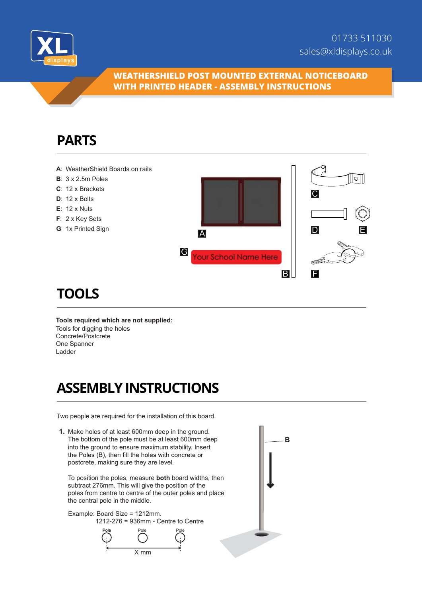

#### **WEATHERSHIELD POST MOUNTED EXTERNAL NOTICEBOARD WITH PRINTED HEADER - ASSEMBLY INSTRUCTIONS**

## **PARTS**



# **TOOLS**

**Tools required which are not supplied:** Tools for digging the holes Concrete/Postcrete One Spanner Ladder

# **ASSEMBLY INSTRUCTIONS**

Two people are required for the installation of this board.

**1.** Make holes of at least 600mm deep in the ground. The bottom of the pole must be at least 600mm deep into the ground to ensure maximum stability. Insert the Poles (B), then fill the holes with concrete or postcrete, making sure they are level.

T o position the poles, measure **both** board widths, then subtract 276mm. This will give the position of the poles from centre to centre of the outer poles and place the central pole in the middle.

Example: Board Size = 1212mm. 1212-276 = 936mm - Centre to Centre



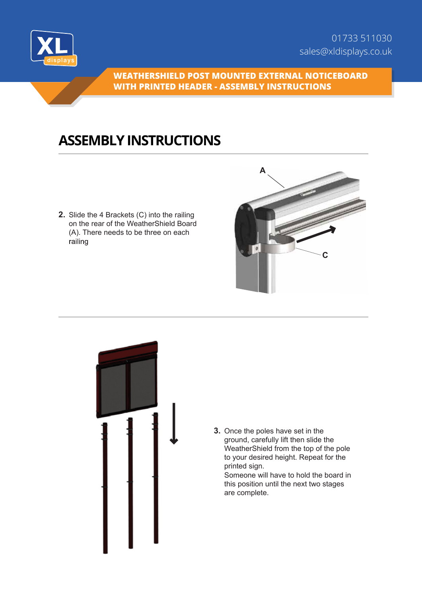

**WEATHERSHIELD POST MOUNTED EXTERNAL NOTICEBOARD WITH PRINTED HEADER - ASSEMBLY INSTRUCTIONS**

## **ASSEMBLY INSTRUCTIONS**

**2.** Slide the 4 Brackets (C) into the railing on the rear of the WeatherShield Board (A). There needs to be three on each railing





**3.** Once the poles have set in the ground, carefully lift then slide the WeatherShield from the top of the pole to your desired height. Repeat for the printed sign.

Someone will have to hold the board in this position until the next two stages are complete.